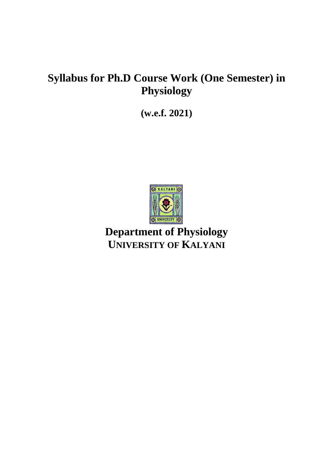# **Syllabus for Ph.D Course Work (One Semester) in Physiology**

**(w.e.f. 2021)**



**Department of Physiology UNIVERSITY OF KALYANI**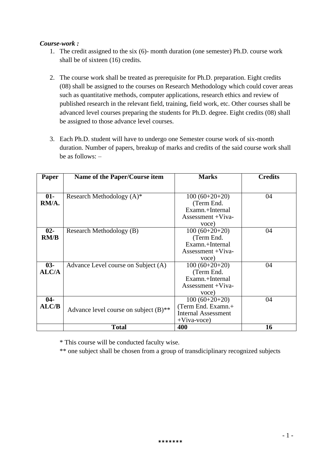# *Course-work :*

- 1. The credit assigned to the six (6)- month duration (one semester) Ph.D. course work shall be of sixteen (16) credits.
- 2. The course work shall be treated as prerequisite for Ph.D. preparation. Eight credits (08) shall be assigned to the courses on Research Methodology which could cover areas such as quantitative methods, computer applications, research ethics and review of published research in the relevant field, training, field work, etc. Other courses shall be advanced level courses preparing the students for Ph.D. degree. Eight credits (08) shall be assigned to those advance level courses.
- 3. Each Ph.D. student will have to undergo one Semester course work of six-month duration. Number of papers, breakup of marks and credits of the said course work shall be as follows: –

| <b>Paper</b> | Name of the Paper/Course item                       | <b>Marks</b>               | <b>Credits</b> |
|--------------|-----------------------------------------------------|----------------------------|----------------|
|              |                                                     |                            |                |
| 01-          | Research Methodology $(A)^*$                        | $100(60+20+20)$            | 04             |
| RM/A.        |                                                     | (Term End.)                |                |
|              |                                                     | Examn.+Internal            |                |
|              |                                                     | Assessment +Viva-          |                |
|              |                                                     | voce)                      |                |
| $02 -$       | Research Methodology (B)                            | $100(60+20+20)$            | 04             |
| RM/B         |                                                     | (Term End.)                |                |
|              |                                                     | Examn.+Internal            |                |
|              |                                                     | Assessment +Viva-          |                |
|              |                                                     | voce)                      |                |
| $03 -$       | Advance Level course on Subject (A)                 | $100(60+20+20)$            | 04             |
| <b>ALC/A</b> |                                                     | (Term End.                 |                |
|              |                                                     | Examn.+Internal            |                |
|              |                                                     | Assessment +Viva-          |                |
|              |                                                     | voce)                      |                |
| $04 -$       |                                                     | $100(60+20+20)$            | 04             |
| ALC/B        | Advance level course on subject $(B)$ <sup>**</sup> | (Term End. Examn.+         |                |
|              |                                                     | <b>Internal Assessment</b> |                |
|              |                                                     | $+V$ iva-voce)             |                |
|              | <b>Total</b>                                        | 400                        | 16             |

\* This course will be conducted faculty wise.

\*\* one subject shall be chosen from a group of transdiciplinary recognized subjects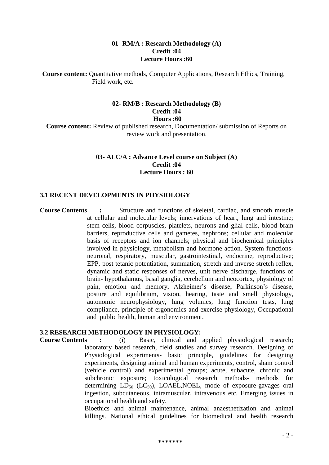## **01- RM/A : Research Methodology (A) Credit :04 Lecture Hours :60**

**Course content:** Quantitative methods, Computer Applications, Research Ethics, Training, Field work, etc.

## **02- RM/B : Research Methodology (B) Credit :04 Hours :60**

**Course content:** Review of published research, Documentation/ submission of Reports on review work and presentation.

# **03- ALC/A : Advance Level course on Subject (A) Credit :04 Lecture Hours : 60**

#### **3.1 RECENT DEVELOPMENTS IN PHYSIOLOGY**

**Course Contents :** Structure and functions of skeletal, cardiac, and smooth muscle at cellular and molecular levels; innervations of heart, lung and intestine; stem cells, blood corpuscles, platelets, neurons and glial cells, blood brain barriers, reproductive cells and gametes, nephrons; cellular and molecular basis of receptors and ion channels; physical and biochemical principles involved in physiology, metabolism and hormone action. System functionsneuronal, respiratory, muscular, gastrointestinal, endocrine, reproductive; EPP, post tetanic potentiation, summation, stretch and inverse stretch reflex, dynamic and static responses of nerves, unit nerve discharge, functions of brain- hypothalamus, basal ganglia, cerebellum and neocortex, physiology of pain, emotion and memory, Alzheimer's disease, Parkinson's disease, posture and equilibrium, vision, hearing, taste and smell physiology, autonomic neurophysiology, lung volumes, lung function tests, lung compliance, principle of ergonomics and exercise physiology, Occupational and public health, human and environment.

#### **3.2 RESEARCH METHODOLOGY IN PHYSIOLOGY:**

**Course Contents :** (i) Basic, clinical and applied physiological research; laboratory based research, field studies and survey research. Designing of Physiological experiments- basic principle, guidelines for designing experiments, designing animal and human experiments, control, sham control (vehicle control) and experimental groups; acute, subacute, chronic and subchronic exposure; toxicological research methods- methods for determining  $LD_{50}$  ( $LC_{50}$ ), LOAEL, NOEL, mode of exposure-gavages oral ingestion, subcutaneous, intramuscular, intravenous etc. Emerging issues in occupational health and safety.

> Bioethics and animal maintenance, animal anaesthetization and animal killings. National ethical guidelines for biomedical and health research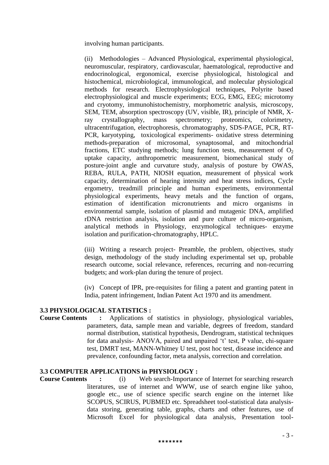involving human participants.

(ii) Methodologies – Advanced Physiological, experimental physiological, neuromuscular, respiratory, cardiovascular, haematological, reproductive and endocrinological, ergonomical, exercise physiological, histological and histochemical, microbiological, immunological, and molecular physiological methods for research. Electrophysiological techniques, Polyrite based electrophysiological and muscle experiments; ECG, EMG, EEG; microtomy and cryotomy, immunohistochemistry, morphometric analysis, microscopy, SEM, TEM, absorption spectroscopy (UV, visible, IR), principle of NMR, Xray crystallography, mass spectrometry; proteomics, colorimetry, ultracentrifugation, electrophoresis, chromatography, SDS-PAGE, PCR, RT-PCR, karyotyping, toxicological experiments- oxidative stress determining methods-preparation of microsomal, synaptosomal, and mitochondrial fractions, ETC studying methods; lung function tests, measurement of  $O_2$ uptake capacity, anthropometric measurement, biomechanical study of posture-joint angle and curvature study, analysis of posture by OWAS, REBA, RULA, PATH, NIOSH equation, measurement of physical work capacity, determination of hearing intensity and heat stress indices, Cycle ergometry, treadmill principle and human experiments, environmental physiological experiments, heavy metals and the function of organs, estimation of identification micronutrients and micro organisms in environmental sample, isolation of plasmid and mutagenic DNA, amplified rDNA restriction analysis, isolation and pure culture of micro-organism, analytical methods in Physiology, enzymological techniques- enzyme isolation and purification-chromatography, HPLC.

(iii) Writing a research project- Preamble, the problem, objectives, study design, methodology of the study including experimental set up, probable research outcome, social relevance, references, recurring and non-recurring budgets; and work-plan during the tenure of project.

(iv) Concept of IPR, pre-requisites for filing a patent and granting patent in India, patent infringement, Indian Patent Act 1970 and its amendment.

# **3.3 PHYSIOLOGICAL STATISTICS :**

**Course Contents :** Applications of statistics in physiology, physiological variables, parameters, data, sample mean and variable, degrees of freedom, standard normal distribution, statistical hypothesis, Dendrogram, statistical techniques for data analysis- ANOVA, paired and unpaired 't' test, P value, chi-square test, DMRT test, MANN-Whitney U test, post hoc test, disease incidence and prevalence, confounding factor, meta analysis, correction and correlation.

# **3.3 COMPUTER APPLICATIONS in PHYSIOLOGY :**

**Course Contents :** (i) Web search-Importance of Internet for searching research literatures, use of internet and WWW, use of search engine like yahoo, google etc., use of science specific search engine on the internet like SCOPUS, SCIRUS, PUBMED etc. Spreadsheet tool-statistical data analysisdata storing, generating table, graphs, charts and other features, use of Microsoft Excel for physiological data analysis, Presentation tool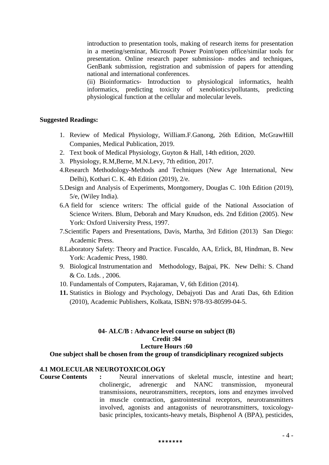introduction to presentation tools, making of research items for presentation in a meeting/seminar, Microsoft Power Point/open office/similar tools for presentation. Online research paper submission- modes and techniques, GenBank submission, registration and submission of papers for attending national and international conferences.

(ii) Bioinformatics- Introduction to physiological informatics, health informatics, predicting toxicity of xenobiotics/pollutants, predicting physiological function at the cellular and molecular levels.

#### **Suggested Readings:**

- 1. Review of Medical Physiology, William.F.Ganong, 26th Edition, McGrawHill Companies, Medical Publication, 2019.
- 2. Text book of Medical Physiology, Guyton & Hall, 14th edition, 2020.
- 3. Physiology, R.M,Berne, M.N.Levy, 7th edition, 2017.
- 4.Research Methodology-Methods and Techniques (New Age International, New Delhi), Kothari C. K. 4th Edition (2019), 2/e.
- 5.Design and Analysis of Experiments, Montgomery, Douglas C. 10th Edition (2019), 5/e, (Wiley India).
- 6.A field for science writers: The official guide of the National Association of Science Writers. Blum, Deborah and Mary Knudson, eds. 2nd Edition (2005). New York: Oxford University Press, 1997.
- 7.Scientific Papers and Presentations, Davis, Martha, 3rd Edition (2013) San Diego: Academic Press.
- 8.Laboratory Safety: Theory and Practice. Fuscaldo, AA, Erlick, BI, Hindman, B. New York: Academic Press, 1980.
- 9. Biological Instrumentation and Methodology, Bajpai, PK. New Delhi: S. Chand & Co. Ltds. , 2006.
- 10. Fundamentals of Computers, Rajaraman, V, 6th Edition (2014).
- **11.** Statistics in Biology and Psychology, Debajyoti Das and Arati Das, 6th Edition (2010), Academic Publishers, Kolkata, ISBN**:** 978-93-80599-04-5.

#### **04- ALC/B : Advance level course on subject (B) Credit :04 Lecture Hours :60**

**One subject shall be chosen from the group of transdiciplinary recognized subjects**

#### **4.1 MOLECULAR NEUROTOXICOLOGY**

**Course Contents :** Neural innervations of skeletal muscle, intestine and heart; cholinergic, adrenergic and NANC transmission, myoneural transmissions, neurotransmitters, receptors, ions and enzymes involved in muscle contraction, gastrointestinal receptors, neurotransmitters involved, agonists and antagonists of neurotransmitters, toxicologybasic principles, toxicants-heavy metals, Bisphenol A (BPA), pesticides,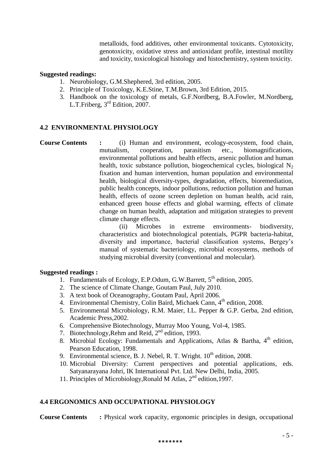metalloids, food additives, other environmental toxicants. Cytotoxicity, genotoxicity, oxidative stress and antioxidant profile, intestinal motility and toxicity, toxicological histology and histochemistry, system toxicity.

# **Suggested readings:**

- 1. Neurobiology, G.M.Shephered, 3rd edition, 2005.
- 2. Principle of Toxicology, K.E.Stine, T.M.Brown, 3rd Edition, 2015.
- 3. Handbook on the toxicology of metals, G.F.Nordberg, B.A.Fowler, M.Nordberg, L.T.Friberg, 3rd Edition, 2007.

# **4.2 ENVIRONMENTAL PHYSIOLOGY**

**Course Contents :** (i) Human and environment, ecology-ecosystem, food chain, mutualism, cooperation, parasitism etc., biomagnifications, environmental pollutions and health effects, arsenic pollution and human health, toxic substance pollution, biogeochemical cycles, biological  $N_2$ fixation and human intervention, human population and environmental health, biological diversity-types, degradation, effects, bioremediation, public health concepts, indoor pollutions, reduction pollution and human health, effects of ozone screen depletion on human health, acid rain, enhanced green house effects and global warming, effects of climate change on human health, adaptation and mitigation strategies to prevent climate change effects.

(ii) Microbes in extreme environments- biodiversity, characteristics and biotechnological potentials, PGPR bacteria-habitat, diversity and importance, bacterial classification systems, Bergey's manual of systematic bacteriology, microbial ecosystems, methods of studying microbial diversity (conventional and molecular).

# **Suggested readings :**

- 1. Fundamentals of Ecology, E.P.Odum, G.W.Barrett, 5<sup>th</sup> edition, 2005.
- 2. The science of Climate Change, Goutam Paul, July 2010.
- 3. A text book of Oceanography, Goutam Paul, April 2006.
- 4. Environmental Chemistry, Colin Baird, Michaek Cann, 4<sup>th</sup> edition, 2008.
- 5. Environmental Microbiology, R.M. Maier, I.L. Pepper & G.P. Gerba, 2nd edition, Academic Press,2002.
- 6. Comprehensive Biotechnology, Murray Moo Young, Vol-4, 1985.
- 7. Biotechnology, Rehm and Reid, 2<sup>nd</sup> edition, 1993.
- 8. Microbial Ecology: Fundamentals and Applications, Atlas & Bartha, 4<sup>th</sup> edition, Pearson Education, 1998.
- 9. Environmental science, B. J. Nebel, R. T. Wright.  $10^{th}$  edition, 2008.
- 10. Microbial Diversity: Current perspectives and potential applications, eds. Satyanarayana Johri, IK International Pvt. Ltd. New Delhi, India, 2005.
- 11. Principles of Microbiology,Ronald M Atlas, 2<sup>nd</sup> edition,1997.

# **4.4 ERGONOMICS AND OCCUPATIONAL PHYSIOLOGY**

**Course Contents** : Physical work capacity, ergonomic principles in design, occupational